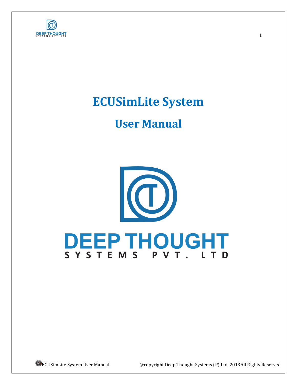

# **ECUSimLite System**

# **User Manual**

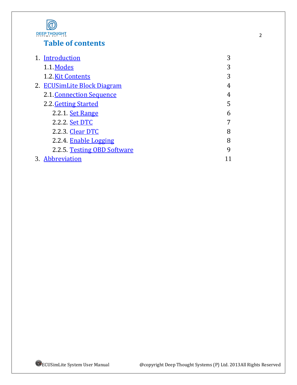

# **Table of contents**

| 1. Introduction             | 3 |
|-----------------------------|---|
| 1.1 Modes                   | 3 |
| 1.2. Kit Contents           | 3 |
| 2. ECUSimLite Block Diagram | 4 |
| 2.1. Connection Sequence    | 4 |
| 2.2. Getting Started        | 5 |
| 2.2.1. Set Range            | 6 |
| 2.2.2. Set DTC              | 7 |
| 2.2.3. Clear DTC            | 8 |
| 2.2.4. Enable Logging       | 8 |
| 2.2.5 Testing OBD Software  | 9 |
| 3. Abbreviation             |   |

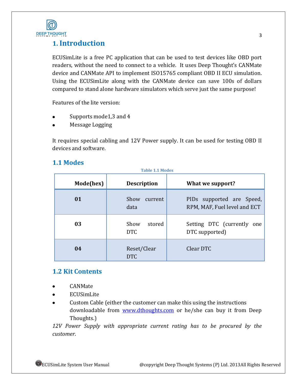

# <span id="page-2-0"></span>**1. Introduction**

ECUSimLite is a free PC application that can be used to test devices like OBD port readers, without the need to connect to a vehicle. It uses Deep Thought's CANMate device and CANMate API to implement ISO15765 compliant OBD II ECU simulation. Using the ECUSimLite along with the CANMate device can save 100s of dollars compared to stand alone hardware simulators which serve just the same purpose!

Features of the lite version:

- Supports mode1,3 and 4
- Message Logging

It requires special cabling and 12V Power supply. It can be used for testing OBD II devices and software.

### <span id="page-2-1"></span>**1.1 Modes**

| <b>Table 1.1 Modes</b> |                              |                                                           |  |
|------------------------|------------------------------|-----------------------------------------------------------|--|
| Mode(hex)              | <b>Description</b>           | What we support?                                          |  |
| 01                     | Show<br>current<br>data      | PIDs supported are Speed,<br>RPM, MAF, Fuel level and ECT |  |
| 03                     | Show<br>stored<br><b>DTC</b> | Setting DTC (currently<br>one<br>DTC supported)           |  |
| 04                     | Reset/Clear<br><b>DTC</b>    | Clear DTC                                                 |  |

### <span id="page-2-2"></span>**1.2 Kit Contents**

- CANMate
- ECUSimLite
- Custom Cable (either the customer can make this using the instructions  $\bullet$ downloadable from [www.dthoughts.com](http://www.dthoughts.com/) or he/she can buy it from Deep Thoughts.)

*12V Power Supply with appropriate current rating has to be procured by the customer*.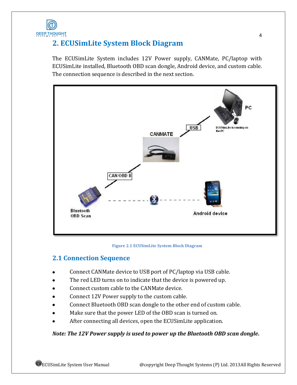

# <span id="page-3-0"></span>**2. ECUSimLite System Block Diagram**

The ECUSimLite System includes 12V Power supply, CANMate, PC/laptop with ECUSimLite installed, Bluetooth OBD scan dongle, Android device, and custom cable. The connection sequence is described in the next section.



#### **Figure 2.1 ECUSimLite System Block Diagram**

### <span id="page-3-1"></span>**2.1 Connection Sequence**

- Connect CANMate device to USB port of PC/laptop via USB cable.
- The red LED turns on to indicate that the device is powered up.
- Connect custom cable to the CANMate device.
- Connect 12V Power supply to the custom cable.
- Connect Bluetooth OBD scan dongle to the other end of custom cable.
- Make sure that the power LED of the OBD scan is turned on.
- After connecting all devices, open the ECUSimLite application.

#### *Note: The 12V Power supply is used to power up the Bluetooth OBD scan dongle***.**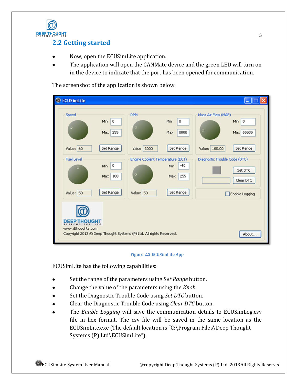

## <span id="page-4-0"></span>**2.2 Getting started**

- Now, open the ECUSimLite application.  $\bullet$
- The application will open the CANMate device and the green LED will turn on  $\bullet$ in the device to indicate that the port has been opened for communication.

The screenshot of the application is shown below.

| <b>C</b> ECUSimLite                      |                               |                                                                     |                            | ь                                                           |
|------------------------------------------|-------------------------------|---------------------------------------------------------------------|----------------------------|-------------------------------------------------------------|
| Speed<br>ю                               | Min<br>$\mathbf 0$<br>Max 255 | <b>RPM</b><br>о                                                     | Min<br>0<br>8000<br>Max    | Mass Air Flow (MAF)<br>Min<br>0<br>o<br>Max 65535           |
| Value: 60<br><b>Fuel Level</b>           | Set Range                     | Value: 2000<br>Engine Coolent Temperature (ECT)                     | Set Range                  | Set Range<br>Value: 100.00<br>Diagnostic Trouble Code (DTC) |
| $\circ$                                  | 0<br>Min<br>Max 100           | ο                                                                   | $-40$<br>Min<br>255<br>Max | Set DTC<br>Clear DTC                                        |
| Value: 50                                | Set Range                     | Value: 50                                                           | Set Range                  | Enable Logging                                              |
| <b>DEEP THOUGHT</b><br>www.dthoughts.com |                               | Copyright 2013 @ Deep Thought Systems (P) Ltd. All rights Reserved. |                            | About                                                       |

#### **Figure 2.2 ECUSimLite App**

ECUSimLite has the following capabilities:

- $\bullet$ Set the range of the parameters using S*et Range* button.
- $\bullet$ Change the value of the parameters using the *Knob*.
- Set the Diagnostic Trouble Code using *Set DTC* button.  $\bullet$
- Clear the Diagnostic Trouble Code using *Clear DTC* button.
- The *Enable Logging* will save the communication details to ECUSimLog.csv  $\bullet$ file in hex format. The csv file will be saved in the same location as the ECUSimLite.exe (The default location is "C:\Program Files\Deep Thought Systems (P) Ltd\ECUSimLite").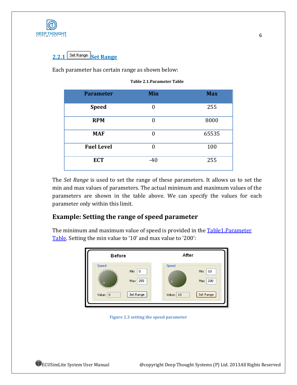<span id="page-5-0"></span>

# Set Range Set Range

<span id="page-5-1"></span>Each parameter has certain range as shown below:

| <b>Parameter</b>  | Min            | <b>Max</b> |
|-------------------|----------------|------------|
| <b>Speed</b>      | $\overline{0}$ | 255        |
| <b>RPM</b>        | $\theta$       | 8000       |
| <b>MAF</b>        | $\theta$       | 65535      |
| <b>Fuel Level</b> | $\theta$       | 100        |
| <b>ECT</b>        | $-40$          | 255        |

The *Set Range* is used to set the range of these parameters. It allows us to set the min and max values of parameters. The actual minimum and maximum values of the parameters are shown in the table above. We can specify the values for each parameter only within this limit.

### **Example: Setting the range of speed parameter**

The minimum and maximum value of speed is provided in the **Table1.Parameter** [Table.](#page-5-1) Setting the min value to '10' and max value to '200':



**Figure 2.3 setting the speed parameter**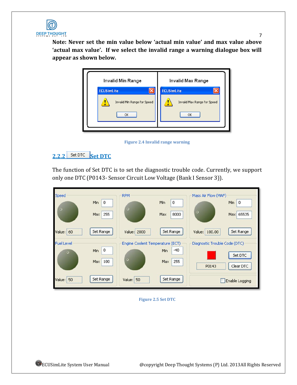

**Note: Never set the min value below 'actual min value' and max value above 'actual max value'. If we select the invalid range a warning dialogue box will appear as shown below.**

7





## <span id="page-6-0"></span>2.2.2 Set DTC Set DTC

The function of Set DTC is to set the diagnostic trouble code. Currently, we support only one DTC (P0143- Sensor Circuit Low Voltage (Bank I Sensor 3)).



<span id="page-6-1"></span>**Figure 2.5 Set DTC**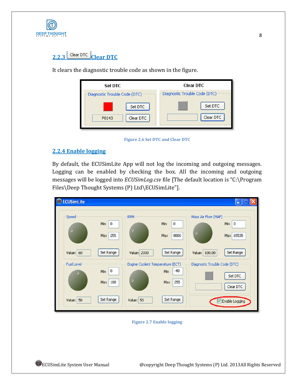

# 2.2.3<sup>Clear DTC</sup> Clear DTC

It clears the diagnostic trouble code as shown in the figure.

| <b>Set DTC</b>                | Clear DTC                     |
|-------------------------------|-------------------------------|
| Diagnostic Trouble Code (DTC) | Diagnostic Trouble Code (DTC) |
| Set DTC                       | Set DTC                       |
| Clear DTC<br>P0143            | Clear DTC                     |



### <span id="page-7-0"></span>**2.2.4 Enable logging**

By default, the ECUSimLite App will not log the incoming and outgoing messages. Logging can be enabled by checking the box. All the incoming and outgoing messages will be logged into *ECUSimLog.csv* file [The default location is "C:\Program Files\Deep Thought Systems (P) Ltd\ECUSimLite"].



**Figure 2.7 Enable logging**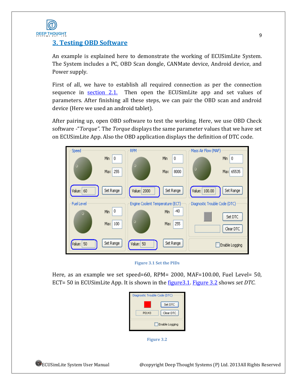

### <span id="page-8-0"></span>**3. Testing OBD Software**

An example is explained here to demonstrate the working of ECUSimLite System. The System includes a PC, OBD Scan dongle, CANMate device, Android device, and Power supply.

First of all, we have to establish all required connection as per the connection sequence in [section 2.1.](#page-3-1) Then open the ECUS imits app and set values of parameters. After finishing all these steps, we can pair the OBD scan and android device (Here we used an android tablet).

After pairing up, open OBD software to test the working. Here, we use OBD Check software -"*Torque".* The *Torque* displays the same parameter values that we have set on ECUSimLite App. Also the OBD application displays the definition of DTC code.

<span id="page-8-1"></span>

**Figure 3.1 Set the PIDs**

<span id="page-8-2"></span>Here, as an example we set speed=60, RPM= 2000, MAF=100.00, Fuel Level= 50, ECT= 50 in ECUSimLite App. It is shown in the [figure3.1.](#page-8-1) [Figure 3.2](#page-8-2) shows *set DTC*.

|       | Set DTC        |
|-------|----------------|
| P0143 | Clear DTC      |
|       | Enable Logging |

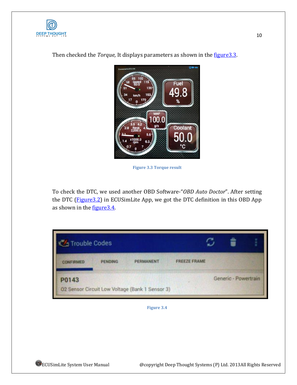



<span id="page-9-1"></span>Then checked the *Torque*, It displays parameters as shown in the *figure*3.3.

**Figure 3.3 Torque result**

To check the DTC, we used another OBD Software-"*OBD Auto Doctor*". After setting the DTC (Figure 3.2) in ECUSimLite App, we got the DTC definition in this OBD App as shown in the figure 3.4.

<span id="page-9-2"></span><span id="page-9-0"></span>

| <b>Contract Trouble Codes</b> |                |                                                 |                     |                      |  |  |
|-------------------------------|----------------|-------------------------------------------------|---------------------|----------------------|--|--|
| <b>CONFIRMED</b>              | <b>PENDING</b> | <b>PERMANENT</b>                                | <b>FREEZE FRAME</b> |                      |  |  |
| P0143                         |                |                                                 |                     | Generic - Powertrain |  |  |
|                               |                | 02 Sensor Circuit Low Voltage (Bank 1 Sensor 3) |                     |                      |  |  |

**Figure 3.4**